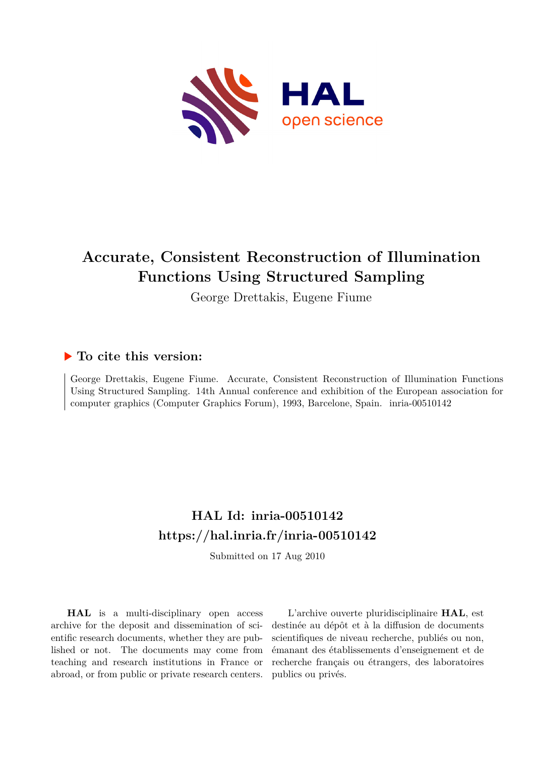

# **Accurate, Consistent Reconstruction of Illumination Functions Using Structured Sampling**

George Drettakis, Eugene Fiume

## **To cite this version:**

George Drettakis, Eugene Fiume. Accurate, Consistent Reconstruction of Illumination Functions Using Structured Sampling. 14th Annual conference and exhibition of the European association for computer graphics (Computer Graphics Forum), 1993, Barcelone, Spain. inria-00510142

# **HAL Id: inria-00510142 <https://hal.inria.fr/inria-00510142>**

Submitted on 17 Aug 2010

**HAL** is a multi-disciplinary open access archive for the deposit and dissemination of scientific research documents, whether they are published or not. The documents may come from teaching and research institutions in France or abroad, or from public or private research centers.

L'archive ouverte pluridisciplinaire **HAL**, est destinée au dépôt et à la diffusion de documents scientifiques de niveau recherche, publiés ou non, émanant des établissements d'enseignement et de recherche français ou étrangers, des laboratoires publics ou privés.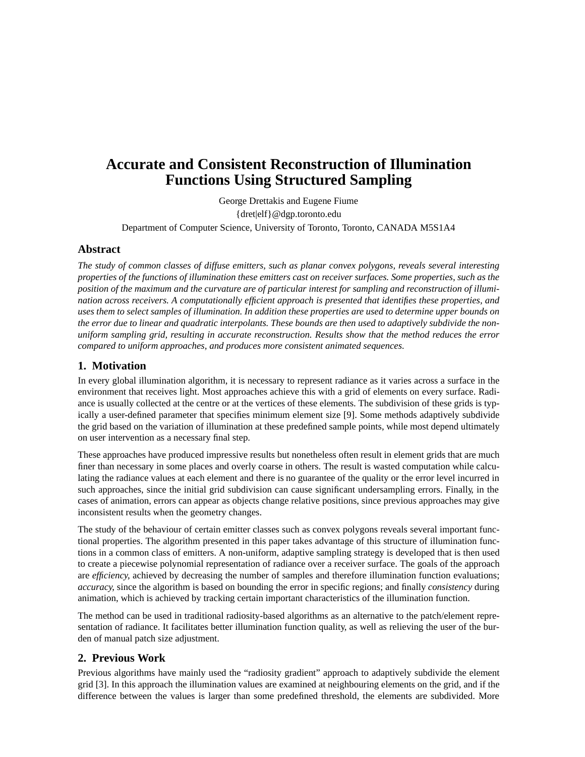# **Accurate and Consistent Reconstruction of Illumination Functions Using Structured Sampling**

George Drettakis and Eugene Fiume {dret|elf}@dgp.toronto.edu

Department of Computer Science, University of Toronto, Toronto, CANADA M5S1A4

## **Abstract**

*The study of common classes of diffuse emitters, such as planar convex polygons, reveals several interesting properties of the functions of illumination these emitters cast on receiver surfaces. Some properties, such as the position of the maximum and the curvature are of particular interest for sampling and reconstruction of illumination across receivers. A computationally efficient approach is presented that identifies these properties, and uses them to select samples of illumination. In addition these properties are used to determine upper bounds on the error due to linear and quadratic interpolants. These bounds are then used to adaptively subdivide the nonuniform sampling grid, resulting in accurate reconstruction. Results show that the method reduces the error compared to uniform approaches, and produces more consistent animated sequences.*

## **1. Motivation**

In every global illumination algorithm, it is necessary to represent radiance as it varies across a surface in the environment that receives light. Most approaches achieve this with a grid of elements on every surface. Radiance is usually collected at the centre or at the vertices of these elements. The subdivision of these grids is typically a user-defined parameter that specifies minimum element size [9]. Some methods adaptively subdivide the grid based on the variation of illumination at these predefined sample points, while most depend ultimately on user intervention as a necessary final step.

These approaches have produced impressive results but nonetheless often result in element grids that are much finer than necessary in some places and overly coarse in others. The result is wasted computation while calculating the radiance values at each element and there is no guarantee of the quality or the error level incurred in such approaches, since the initial grid subdivision can cause significant undersampling errors. Finally, in the cases of animation, errors can appear as objects change relative positions, since previous approaches may give inconsistent results when the geometry changes.

The study of the behaviour of certain emitter classes such as convex polygons reveals several important functional properties. The algorithm presented in this paper takes advantage of this structure of illumination functions in a common class of emitters. A non-uniform, adaptive sampling strategy is developed that is then used to create a piecewise polynomial representation of radiance over a receiver surface. The goals of the approach are *efficiency*, achieved by decreasing the number of samples and therefore illumination function evaluations; *accuracy*, since the algorithm is based on bounding the error in specific regions; and finally *consistency* during animation, which is achieved by tracking certain important characteristics of the illumination function.

The method can be used in traditional radiosity-based algorithms as an alternative to the patch/element representation of radiance. It facilitates better illumination function quality, as well as relieving the user of the burden of manual patch size adjustment.

## **2. Previous Work**

Previous algorithms have mainly used the "radiosity gradient" approach to adaptively subdivide the element grid [3]. In this approach the illumination values are examined at neighbouring elements on the grid, and if the difference between the values is larger than some predefined threshold, the elements are subdivided. More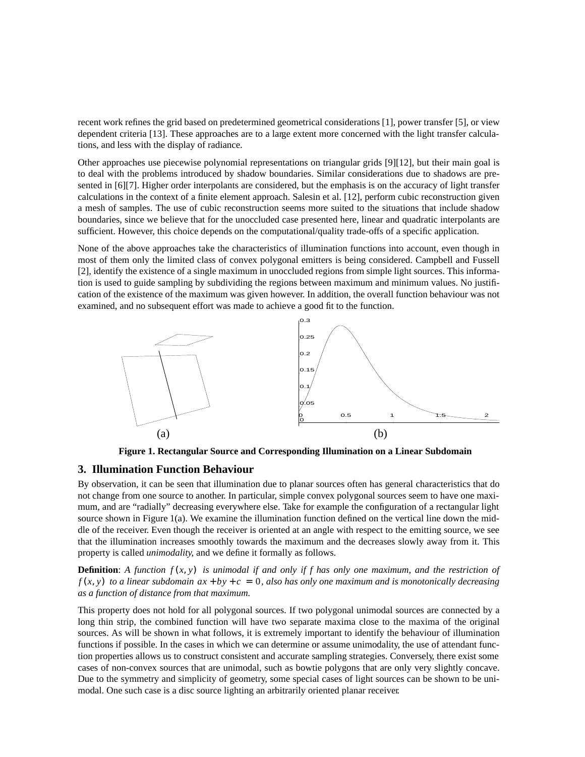recent work refines the grid based on predetermined geometrical considerations [1], power transfer [5], or view dependent criteria [13]. These approaches are to a large extent more concerned with the light transfer calculations, and less with the display of radiance.

Other approaches use piecewise polynomial representations on triangular grids [9][12], but their main goal is to deal with the problems introduced by shadow boundaries. Similar considerations due to shadows are presented in [6][7]. Higher order interpolants are considered, but the emphasis is on the accuracy of light transfer calculations in the context of a finite element approach. Salesin et al. [12], perform cubic reconstruction given a mesh of samples. The use of cubic reconstruction seems more suited to the situations that include shadow boundaries, since we believe that for the unoccluded case presented here, linear and quadratic interpolants are sufficient. However, this choice depends on the computational/quality trade-offs of a specific application.

None of the above approaches take the characteristics of illumination functions into account, even though in most of them only the limited class of convex polygonal emitters is being considered. Campbell and Fussell [2], identify the existence of a single maximum in unoccluded regions from simple light sources. This information is used to guide sampling by subdividing the regions between maximum and minimum values. No justification of the existence of the maximum was given however. In addition, the overall function behaviour was not examined, and no subsequent effort was made to achieve a good fit to the function.



**Figure 1. Rectangular Source and Corresponding Illumination on a Linear Subdomain**

## **3. Illumination Function Behaviour**

By observation, it can be seen that illumination due to planar sources often has general characteristics that do not change from one source to another. In particular, simple convex polygonal sources seem to have one maximum, and are "radially" decreasing everywhere else. Take for example the configuration of a rectangular light source shown in Figure 1(a). We examine the illumination function defined on the vertical line down the middle of the receiver. Even though the receiver is oriented at an angle with respect to the emitting source, we see that the illumination increases smoothly towards the maximum and the decreases slowly away from it. This property is called *unimodality*, and we define it formally as follows.

**Definition:** A function  $f(x, y)$  is unimodal if and only if f has only one maximum, and the restriction of  $f(x, y)$  to a linear subdomain  $ax + by + c = 0$ , also has only one maximum and is monotonically decreasing *as a function of distance from that maximum.*

This property does not hold for all polygonal sources. If two polygonal unimodal sources are connected by a long thin strip, the combined function will have two separate maxima close to the maxima of the original sources. As will be shown in what follows, it is extremely important to identify the behaviour of illumination functions if possible. In the cases in which we can determine or assume unimodality, the use of attendant function properties allows us to construct consistent and accurate sampling strategies. Conversely, there exist some cases of non-convex sources that are unimodal, such as bowtie polygons that are only very slightly concave. Due to the symmetry and simplicity of geometry, some special cases of light sources can be shown to be unimodal. One such case is a disc source lighting an arbitrarily oriented planar receiver.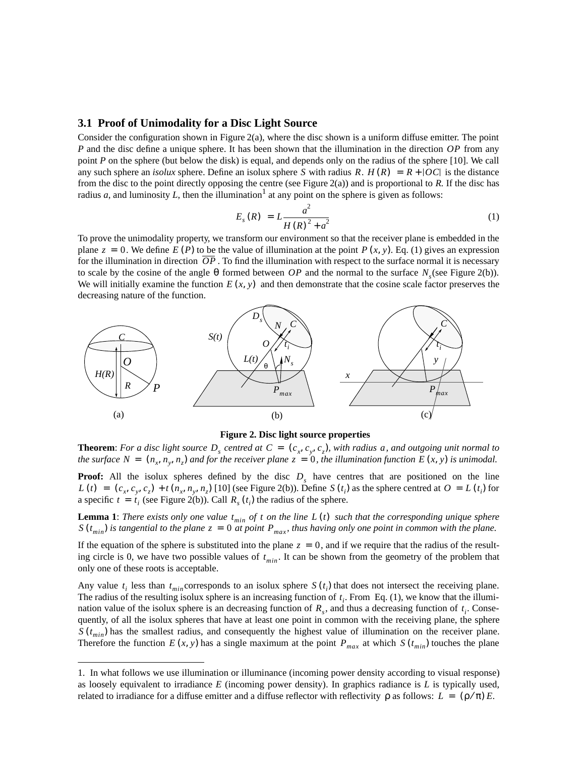#### **3.1 Proof of Unimodality for a Disc Light Source**

Consider the configuration shown in Figure 2(a), where the disc shown is a uniform diffuse emitter. The point *P* and the disc define a unique sphere. It has been shown that the illumination in the direction OP from any point *P* on the sphere (but below the disk) is equal, and depends only on the radius of the sphere [10]. We call any such sphere an *isolux* sphere. Define an isolux sphere S with radius R.  $H(R) = R + |OC|$  is the distance from the disc to the point directly opposing the centre (see Figure 2(a)) and is proportional to *R.* If the disc has radius *a*, and luminosity *L*, then the illumination<sup>1</sup> at any point on the sphere is given as follows:

$$
E_s(R) = L \frac{a^2}{H(R)^2 + a^2}
$$
 (1)

To prove the unimodality property, we transform our environment so that the receiver plane is embedded in the plane  $z = 0$ . We define  $E(P)$  to be the value of illumination at the point  $P(x, y)$ . Eq. (1) gives an expression for the illumination in direction  $OP$ . To find the illumination with respect to the surface normal it is necessary to scale by the cosine of the angle  $\theta$  formed between OP and the normal to the surface  $N_s$  (see Figure 2(b)). We will initially examine the function  $E(x, y)$  and then demonstrate that the cosine scale factor preserves the decreasing nature of the function.



**Figure 2. Disc light source properties**

**Theorem**: For a disc light source  $D_s$  centred at  $C = (c_x, c_y, c_z)$ , with radius a, and outgoing unit normal to *the surface*  $N = (n_x, n_y, n_z)$  and for the receiver plane  $z = 0$ , the illumination function  $E(x, y)$  is unimodal.

**Proof:** All the isolux spheres defined by the disc  $D<sub>s</sub>$  have centres that are positioned on the line  $L(t) = (c_x, c_y, c_z) + t(n_x, n_y, n_z)$  [10] (see Figure 2(b)). Define  $S(t_i)$  as the sphere centred at  $O = L(t_i)$  for a specific  $t = t_i$  (see Figure 2(b)). Call  $R_s(t_i)$  the radius of the sphere.

**Lemma 1**: *There exists only one value*  $t_{min}$  *of t on the line*  $L(t)$  *such that the corresponding unique sphere is tangential to the plane z* = 0 *at point*  $P_{max}$ *, thus having only one point in common with the plane.*  $t_{min}$  *of t on the line*  $L(t)$  $S(t_{min})$  *is tangential to the plane*  $z = 0$  *at point*  $P_{max}$ 

If the equation of the sphere is substituted into the plane  $z = 0$ , and if we require that the radius of the resulting circle is 0, we have two possible values of  $t_{min}$ . It can be shown from the geometry of the problem that only one of these roots is acceptable.

Any value  $t_i$  less than  $t_{min}$  corresponds to an isolux sphere  $S(t_i)$  that does not intersect the receiving plane. The radius of the resulting isolux sphere is an increasing function of  $t_i$ . From Eq. (1), we know that the illumination value of the isolux sphere is an decreasing function of  $R_s$ , and thus a decreasing function of  $t_i$ . Consequently, of all the isolux spheres that have at least one point in common with the receiving plane, the sphere  $S(t_{min})$  has the smallest radius, and consequently the highest value of illumination on the receiver plane. Therefore the function  $E(x, y)$  has a single maximum at the point  $P_{max}$  at which  $S(t_{min})$  touches the plane

<sup>1.</sup> In what follows we use illumination or illuminance (incoming power density according to visual response) as loosely equivalent to irradiance *E* (incoming power density). In graphics radiance is *L* is typically used, related to irradiance for a diffuse emitter and a diffuse reflector with reflectivity  $\rho$  as follows:  $L = (\rho/\pi) E$ .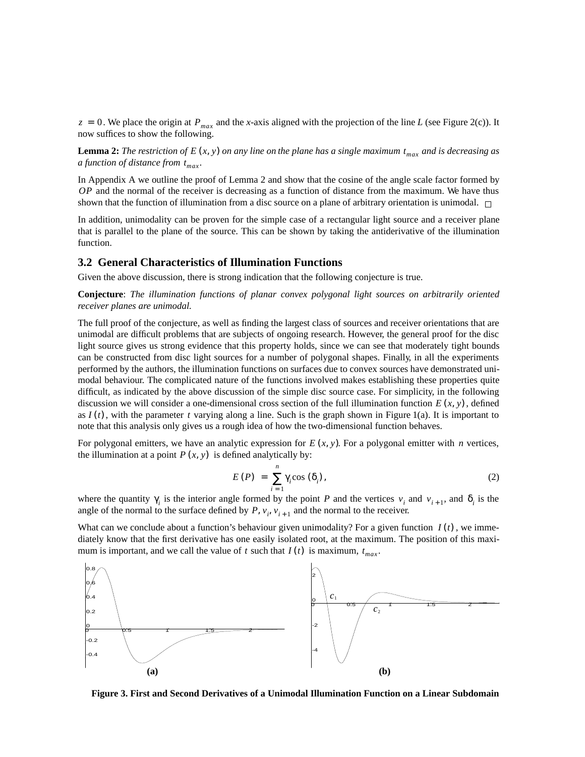$z = 0$ . We place the origin at  $P_{max}$  and the *x*-axis aligned with the projection of the line *L* (see Figure 2(c)). It now suffices to show the following.

**Lemma 2:** The restriction of E  $(x, y)$  on any line on the plane has a single maximum  $t_{max}$  and is decreasing as *a function of distance from*  $t_{max}$ *.* 

In Appendix A we outline the proof of Lemma 2 and show that the cosine of the angle scale factor formed by OP and the normal of the receiver is decreasing as a function of distance from the maximum. We have thus shown that the function of illumination from a disc source on a plane of arbitrary orientation is unimodal.  $\Box$ 

In addition, unimodality can be proven for the simple case of a rectangular light source and a receiver plane that is parallel to the plane of the source. This can be shown by taking the antiderivative of the illumination function.

#### **3.2 General Characteristics of Illumination Functions**

Given the above discussion, there is strong indication that the following conjecture is true.

**Conjecture**: *The illumination functions of planar convex polygonal light sources on arbitrarily oriented receiver planes are unimodal.*

The full proof of the conjecture, as well as finding the largest class of sources and receiver orientations that are unimodal are difficult problems that are subjects of ongoing research. However, the general proof for the disc light source gives us strong evidence that this property holds, since we can see that moderately tight bounds can be constructed from disc light sources for a number of polygonal shapes. Finally, in all the experiments performed by the authors, the illumination functions on surfaces due to convex sources have demonstrated unimodal behaviour. The complicated nature of the functions involved makes establishing these properties quite difficult, as indicated by the above discussion of the simple disc source case. For simplicity, in the following discussion we will consider a one-dimensional cross section of the full illumination function  $E(x, y)$ , defined as  $I(t)$ , with the parameter t varying along a line. Such is the graph shown in Figure 1(a). It is important to note that this analysis only gives us a rough idea of how the two-dimensional function behaves.

For polygonal emitters, we have an analytic expression for  $E(x, y)$ . For a polygonal emitter with *n* vertices, the illumination at a point  $P(x, y)$  is defined analytically by:

$$
E(P) = \sum_{i=1}^{n} \gamma_i \cos(\delta_i), \qquad (2)
$$

where the quantity  $\gamma_i$  is the interior angle formed by the point P and the vertices  $v_i$  and  $v_{i+1}$ , and  $\delta_i$  is the angle of the normal to the surface defined by  $P$ ,  $v_i$ ,  $v_{i+1}$  and the normal to the receiver.

What can we conclude about a function's behaviour given unimodality? For a given function  $I(t)$ , we immediately know that the first derivative has one easily isolated root, at the maximum. The position of this maximum is important, and we call the value of t such that  $I(t)$  is maximum,  $t_{max}$ .



**Figure 3. First and Second Derivatives of a Unimodal Illumination Function on a Linear Subdomain**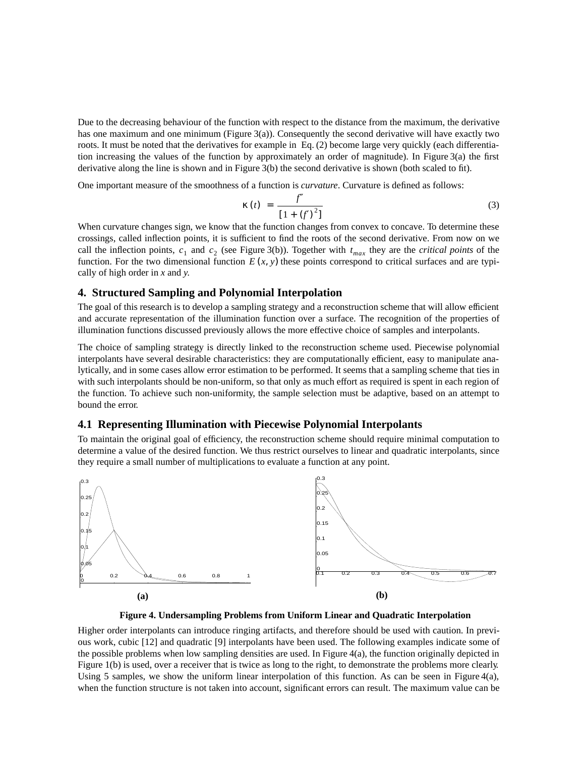Due to the decreasing behaviour of the function with respect to the distance from the maximum, the derivative has one maximum and one minimum (Figure 3(a)). Consequently the second derivative will have exactly two roots. It must be noted that the derivatives for example in Eq. (2) become large very quickly (each differentiation increasing the values of the function by approximately an order of magnitude). In Figure 3(a) the first derivative along the line is shown and in Figure 3(b) the second derivative is shown (both scaled to fit).

One important measure of the smoothness of a function is *curvature*. Curvature is defined as follows:

$$
\kappa(t) = \frac{f''}{[1 + (f')^{2}]}
$$
 (3)

When curvature changes sign, we know that the function changes from convex to concave. To determine these crossings, called inflection points, it is sufficient to find the roots of the second derivative. From now on we call the inflection points,  $c_1$  and  $c_2$  (see Figure 3(b)). Together with  $t_{max}$  they are the *critical points* of the function. For the two dimensional function  $E(x, y)$  these points correspond to critical surfaces and are typically of high order in *x* and *y*.

#### **4. Structured Sampling and Polynomial Interpolation**

The goal of this research is to develop a sampling strategy and a reconstruction scheme that will allow efficient and accurate representation of the illumination function over a surface. The recognition of the properties of illumination functions discussed previously allows the more effective choice of samples and interpolants.

The choice of sampling strategy is directly linked to the reconstruction scheme used. Piecewise polynomial interpolants have several desirable characteristics: they are computationally efficient, easy to manipulate analytically, and in some cases allow error estimation to be performed. It seems that a sampling scheme that ties in with such interpolants should be non-uniform, so that only as much effort as required is spent in each region of the function. To achieve such non-uniformity, the sample selection must be adaptive, based on an attempt to bound the error.

#### **4.1 Representing Illumination with Piecewise Polynomial Interpolants**

To maintain the original goal of efficiency, the reconstruction scheme should require minimal computation to determine a value of the desired function. We thus restrict ourselves to linear and quadratic interpolants, since they require a small number of multiplications to evaluate a function at any point.



**Figure 4. Undersampling Problems from Uniform Linear and Quadratic Interpolation**

Higher order interpolants can introduce ringing artifacts, and therefore should be used with caution. In previous work, cubic [12] and quadratic [9] interpolants have been used. The following examples indicate some of the possible problems when low sampling densities are used. In Figure 4(a), the function originally depicted in Figure 1(b) is used, over a receiver that is twice as long to the right, to demonstrate the problems more clearly. Using 5 samples, we show the uniform linear interpolation of this function. As can be seen in Figure 4(a), when the function structure is not taken into account, significant errors can result. The maximum value can be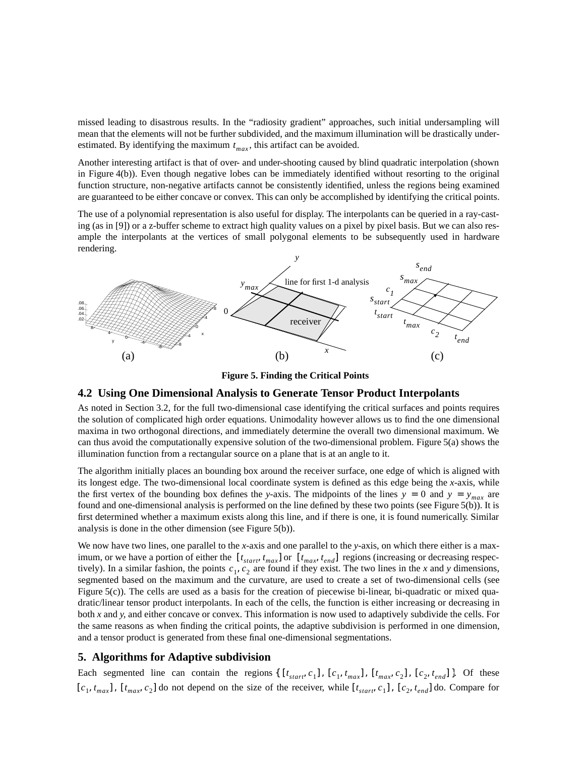missed leading to disastrous results. In the "radiosity gradient" approaches, such initial undersampling will mean that the elements will not be further subdivided, and the maximum illumination will be drastically underestimated. By identifying the maximum  $t_{max}$ , this artifact can be avoided.

Another interesting artifact is that of over- and under-shooting caused by blind quadratic interpolation (shown in Figure 4(b)). Even though negative lobes can be immediately identified without resorting to the original function structure, non-negative artifacts cannot be consistently identified, unless the regions being examined are guaranteed to be either concave or convex. This can only be accomplished by identifying the critical points.

The use of a polynomial representation is also useful for display. The interpolants can be queried in a ray-casting (as in [9]) or a z-buffer scheme to extract high quality values on a pixel by pixel basis. But we can also resample the interpolants at the vertices of small polygonal elements to be subsequently used in hardware rendering.



**Figure 5. Finding the Critical Points**

## **4.2 Using One Dimensional Analysis to Generate Tensor Product Interpolants**

As noted in Section 3.2, for the full two-dimensional case identifying the critical surfaces and points requires the solution of complicated high order equations. Unimodality however allows us to find the one dimensional maxima in two orthogonal directions, and immediately determine the overall two dimensional maximum. We can thus avoid the computationally expensive solution of the two-dimensional problem. Figure 5(a) shows the illumination function from a rectangular source on a plane that is at an angle to it.

The algorithm initially places an bounding box around the receiver surface, one edge of which is aligned with its longest edge. The two-dimensional local coordinate system is defined as this edge being the *x*-axis, while the first vertex of the bounding box defines the *y*-axis. The midpoints of the lines  $y = 0$  and  $y = y_{max}$  are found and one-dimensional analysis is performed on the line defined by these two points (see Figure 5(b)). It is first determined whether a maximum exists along this line, and if there is one, it is found numerically. Similar analysis is done in the other dimension (see Figure 5(b)).

We now have two lines, one parallel to the *x*-axis and one parallel to the *y*-axis, on which there either is a maximum, or we have a portion of either the  $[t_{start}, t_{max}]$  or  $[t_{max}, t_{end}]$  regions (increasing or decreasing respectively). In a similar fashion, the points  $c_1, c_2$  are found if they exist. The two lines in the x and y dimensions, segmented based on the maximum and the curvature, are used to create a set of two-dimensional cells (see Figure 5(c)). The cells are used as a basis for the creation of piecewise bi-linear, bi-quadratic or mixed quadratic/linear tensor product interpolants. In each of the cells, the function is either increasing or decreasing in both *x* and *y*, and either concave or convex. This information is now used to adaptively subdivide the cells. For the same reasons as when finding the critical points, the adaptive subdivision is performed in one dimension, and a tensor product is generated from these final one-dimensional segmentations.  $[t_{start}, t_{max}]$  or  $[t_{max}, t_{end}]$  $c_1, c_2$ 

## **5. Algorithms for Adaptive subdivision**

Each segmented line can contain the regions {  $[t_{start}, c_1]$ ,  $[c_1, t_{max}]$ ,  $[t_{max}, c_2]$ ,  $[c_2, t_{end}]$  }. Of these  $[c_1, t_{max}]$ ,  $[t_{max}, c_2]$  do not depend on the size of the receiver, while  $[t_{star}, c_1]$ ,  $[c_2, t_{end}]$  do. Compare for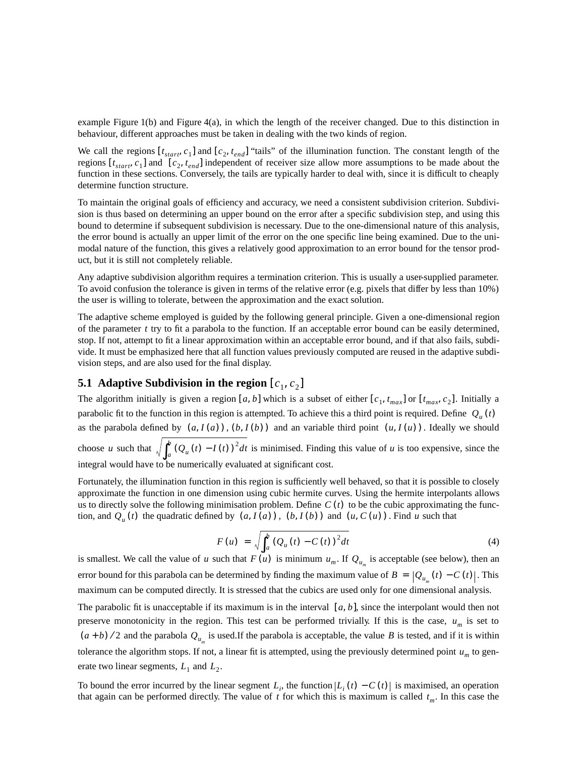example Figure 1(b) and Figure 4(a), in which the length of the receiver changed. Due to this distinction in behaviour, different approaches must be taken in dealing with the two kinds of region.

We call the regions  $[t_{star}, c_1]$  and  $[c_2, t_{end}]$  "tails" of the illumination function. The constant length of the regions  $[t_{start}, c_1]$  and  $[c_2, t_{end}]$  independent of receiver size allow more assumptions to be made about the function in these sections. Conversely, the tails are typically harder to deal with, since it is difficult to cheaply determine function structure.

To maintain the original goals of efficiency and accuracy, we need a consistent subdivision criterion. Subdivision is thus based on determining an upper bound on the error after a specific subdivision step, and using this bound to determine if subsequent subdivision is necessary. Due to the one-dimensional nature of this analysis, the error bound is actually an upper limit of the error on the one specific line being examined. Due to the unimodal nature of the function, this gives a relatively good approximation to an error bound for the tensor product, but it is still not completely reliable.

Any adaptive subdivision algorithm requires a termination criterion. This is usually a user-supplied parameter. To avoid confusion the tolerance is given in terms of the relative error (e.g. pixels that differ by less than 10%) the user is willing to tolerate, between the approximation and the exact solution.

The adaptive scheme employed is guided by the following general principle. Given a one-dimensional region of the parameter  $t$  try to fit a parabola to the function. If an acceptable error bound can be easily determined, stop. If not, attempt to fit a linear approximation within an acceptable error bound, and if that also fails, subdivide. It must be emphasized here that all function values previously computed are reused in the adaptive subdivision steps, and are also used for the final display.

## **5.1** Adaptive Subdivision in the region  $[c_1, c_2]$

The algorithm initially is given a region [a, b] which is a subset of either  $[c_1, t_{max}]$  or  $[t_{max}, c_2]$ . Initially a parabolic fit to the function in this region is attempted. To achieve this a third point is required. Define  $Q_u(t)$ as the parabola defined by  $(a, I(a))$ ,  $(b, I(b))$  and an variable third point  $(u, I(u))$ . Ideally we should choose *u* such that  $\sqrt{\int_a^b (Q_u(t) - I(t))^2} dt$  is minimised. Finding this value of *u* is too expensive, since the integral would have to be numerically evaluated at significant cost.  $\int_a^b$ 

Fortunately, the illumination function in this region is sufficiently well behaved, so that it is possible to closely approximate the function in one dimension using cubic hermite curves. Using the hermite interpolants allows us to directly solve the following minimisation problem. Define  $C(t)$  to be the cubic approximating the function, and  $Q_u(t)$  the quadratic defined by  $(a, I(a))$ ,  $(b, I(b))$  and  $(u, C(u))$ . Find u such that

$$
F(u) = \sqrt{\int_{a}^{b} (Q_u(t) - C(t))^{2} dt}
$$
\n(4)

is smallest. We call the value of u such that  $F(u)$  is minimum  $u_m$ . If  $Q_{u_m}$  is acceptable (see below), then an error bound for this parabola can be determined by finding the maximum value of  $B = |Q_{u_m}(t) - C(t)|$ . This maximum can be computed directly. It is stressed that the cubics are used only for one dimensional analysis.

The parabolic fit is unacceptable if its maximum is in the interval  $[a, b]$ , since the interpolant would then not preserve monotonicity in the region. This test can be performed trivially. If this is the case,  $u_m$  is set to  $(a + b)$  /2 and the parabola  $Q_{u_m}$  is used.If the parabola is acceptable, the value *B* is tested, and if it is within tolerance the algorithm stops. If not, a linear fit is attempted, using the previously determined point  $u_m$  to generate two linear segments,  $L_1$  and  $L_2$ .

To bound the error incurred by the linear segment  $L_i$ , the function  $|L_i(t) - C(t)|$  is maximised, an operation that again can be performed directly. The value of  $t$  for which this is maximum is called  $t_m$ . In this case the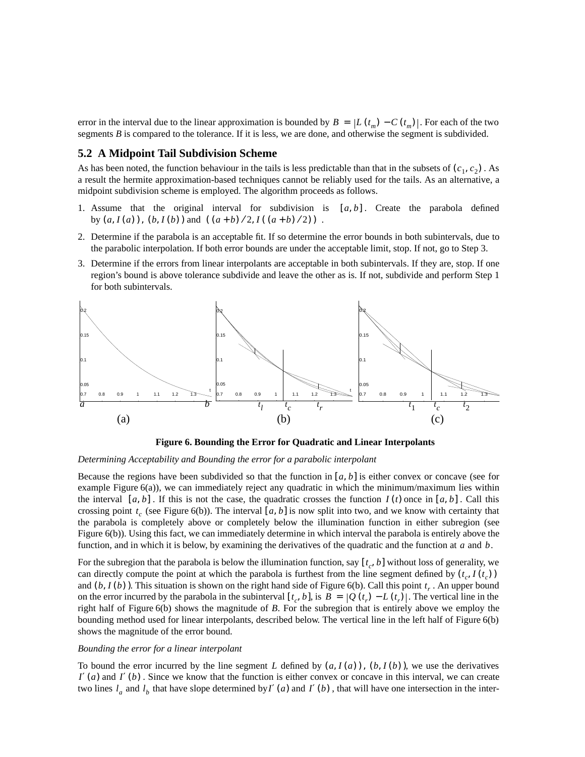error in the interval due to the linear approximation is bounded by  $B = |L(t_m) - C(t_m)|$ . For each of the two segments  $B$  is compared to the tolerance. If it is less, we are done, and otherwise the segment is subdivided.

#### **5.2 A Midpoint Tail Subdivision Scheme**

As has been noted, the function behaviour in the tails is less predictable than that in the subsets of  $(c_1, c_2)$ . As a result the hermite approximation-based techniques cannot be reliably used for the tails. As an alternative, a midpoint subdivision scheme is employed. The algorithm proceeds as follows.

- 1. Assume that the original interval for subdivision is  $[a, b]$ . Create the parabola defined by  $(a, I(a))$ ,  $(b, I(b))$  and  $((a + b)/2, I((a + b)/2))$ .
- 2. Determine if the parabola is an acceptable fit. If so determine the error bounds in both subintervals, due to the parabolic interpolation. If both error bounds are under the acceptable limit, stop. If not, go to Step 3.
- 3. Determine if the errors from linear interpolants are acceptable in both subintervals. If they are, stop. If one region's bound is above tolerance subdivide and leave the other as is. If not, subdivide and perform Step 1 for both subintervals.



**Figure 6. Bounding the Error for Quadratic and Linear Interpolants**

#### *Determining Acceptability and Bounding the error for a parabolic interpolant*

Because the regions have been subdivided so that the function in  $[a, b]$  is either convex or concave (see for example Figure 6(a)), we can immediately reject any quadratic in which the minimum/maximum lies within the interval  $[a, b]$ . If this is not the case, the quadratic crosses the function  $I(t)$  once in  $[a, b]$ . Call this crossing point  $t_c$  (see Figure 6(b)). The interval [a, b] is now split into two, and we know with certainty that the parabola is completely above or completely below the illumination function in either subregion (see Figure 6(b)). Using this fact, we can immediately determine in which interval the parabola is entirely above the function, and in which it is below, by examining the derivatives of the quadratic and the function at  $a$  and  $b$ .

For the subregion that the parabola is below the illumination function, say  $[t_c, b]$  without loss of generality, we can directly compute the point at which the parabola is furthest from the line segment defined by  $(t_c, I(t_c))$ and  $(b, I(b))$ . This situation is shown on the right hand side of Figure 6(b). Call this point  $t_r$ . An upper bound on the error incurred by the parabola in the subinterval  $[t_c, b]$ , is  $B = |Q(t_r) - L(t_r)|$ . The vertical line in the right half of Figure 6(b) shows the magnitude of *B*. For the subregion that is entirely above we employ the bounding method used for linear interpolants, described below. The vertical line in the left half of Figure 6(b) shows the magnitude of the error bound.

#### *Bounding the error for a linear interpolant*

To bound the error incurred by the line segment L defined by  $(a, I(a))$ ,  $(b, I(b))$ , we use the derivatives  $I'(a)$  and  $I'(b)$ . Since we know that the function is either convex or concave in this interval, we can create two lines  $l_a$  and  $l_b$  that have slope determined by  $I'(a)$  and  $I'(b)$ , that will have one intersection in the inter-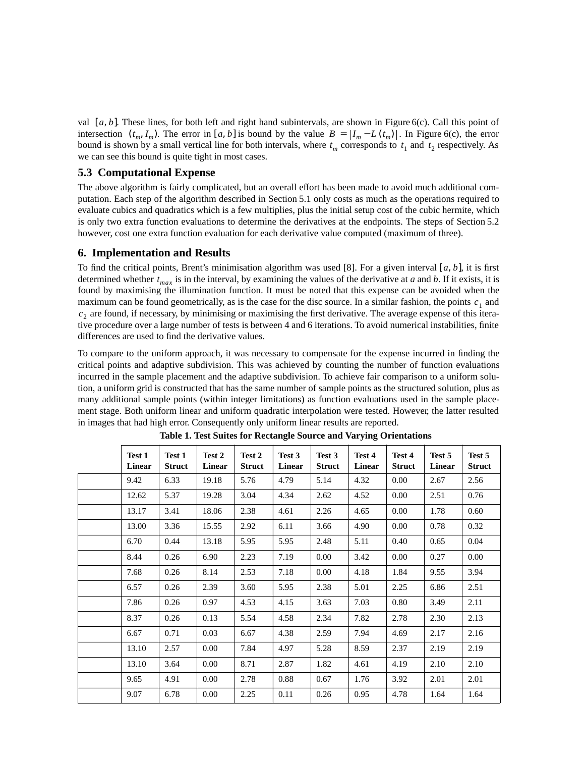val  $[a, b]$ . These lines, for both left and right hand subintervals, are shown in Figure 6(c). Call this point of intersection  $(t_m, I_m)$ . The error in [a, b] is bound by the value  $B = |I_m - L(t_m)|$ . In Figure 6(c), the error bound is shown by a small vertical line for both intervals, where  $t_m$  corresponds to  $t_1$  and  $t_2$  respectively. As we can see this bound is quite tight in most cases.

## **5.3 Computational Expense**

The above algorithm is fairly complicated, but an overall effort has been made to avoid much additional computation. Each step of the algorithm described in Section 5.1 only costs as much as the operations required to evaluate cubics and quadratics which is a few multiplies, plus the initial setup cost of the cubic hermite, which is only two extra function evaluations to determine the derivatives at the endpoints. The steps of Section 5.2 however, cost one extra function evaluation for each derivative value computed (maximum of three).

## **6. Implementation and Results**

To find the critical points, Brent's minimisation algorithm was used [8]. For a given interval  $[a, b]$ , it is first determined whether  $t_{max}$  is in the interval, by examining the values of the derivative at *a* and *b*. If it exists, it is found by maximising the illumination function. It must be noted that this expense can be avoided when the maximum can be found geometrically, as is the case for the disc source. In a similar fashion, the points  $c_1$  and  $c<sub>2</sub>$  are found, if necessary, by minimising or maximising the first derivative. The average expense of this iterative procedure over a large number of tests is between 4 and 6 iterations. To avoid numerical instabilities, finite differences are used to find the derivative values.

To compare to the uniform approach, it was necessary to compensate for the expense incurred in finding the critical points and adaptive subdivision. This was achieved by counting the number of function evaluations incurred in the sample placement and the adaptive subdivision. To achieve fair comparison to a uniform solution, a uniform grid is constructed that has the same number of sample points as the structured solution, plus as many additional sample points (within integer limitations) as function evaluations used in the sample placement stage. Both uniform linear and uniform quadratic interpolation were tested. However, the latter resulted in images that had high error. Consequently only uniform linear results are reported.

| Test 1<br><b>Linear</b> | Test 1<br><b>Struct</b> | Test 2<br><b>Linear</b> | Test 2<br><b>Struct</b> | Test 3<br>Linear | Test 3<br><b>Struct</b> | Test 4<br><b>Linear</b> | Test 4<br><b>Struct</b> | Test 5<br><b>Linear</b> | Test 5<br><b>Struct</b> |
|-------------------------|-------------------------|-------------------------|-------------------------|------------------|-------------------------|-------------------------|-------------------------|-------------------------|-------------------------|
| 9.42                    | 6.33                    | 19.18                   | 5.76                    | 4.79             | 5.14                    | 4.32                    | 0.00                    | 2.67                    | 2.56                    |
| 12.62                   | 5.37                    | 19.28                   | 3.04                    | 4.34             | 2.62                    | 4.52                    | 0.00                    | 2.51                    | 0.76                    |
| 13.17                   | 3.41                    | 18.06                   | 2.38                    | 4.61             | 2.26                    | 4.65                    | 0.00                    | 1.78                    | 0.60                    |
| 13.00                   | 3.36                    | 15.55                   | 2.92                    | 6.11             | 3.66                    | 4.90                    | 0.00                    | 0.78                    | 0.32                    |
| 6.70                    | 0.44                    | 13.18                   | 5.95                    | 5.95             | 2.48                    | 5.11                    | 0.40                    | 0.65                    | 0.04                    |
| 8.44                    | 0.26                    | 6.90                    | 2.23                    | 7.19             | 0.00                    | 3.42                    | 0.00                    | 0.27                    | 0.00                    |
| 7.68                    | 0.26                    | 8.14                    | 2.53                    | 7.18             | 0.00                    | 4.18                    | 1.84                    | 9.55                    | 3.94                    |
| 6.57                    | 0.26                    | 2.39                    | 3.60                    | 5.95             | 2.38                    | 5.01                    | 2.25                    | 6.86                    | 2.51                    |
| 7.86                    | 0.26                    | 0.97                    | 4.53                    | 4.15             | 3.63                    | 7.03                    | 0.80                    | 3.49                    | 2.11                    |
| 8.37                    | 0.26                    | 0.13                    | 5.54                    | 4.58             | 2.34                    | 7.82                    | 2.78                    | 2.30                    | 2.13                    |
| 6.67                    | 0.71                    | 0.03                    | 6.67                    | 4.38             | 2.59                    | 7.94                    | 4.69                    | 2.17                    | 2.16                    |
| 13.10                   | 2.57                    | 0.00                    | 7.84                    | 4.97             | 5.28                    | 8.59                    | 2.37                    | 2.19                    | 2.19                    |
| 13.10                   | 3.64                    | 0.00                    | 8.71                    | 2.87             | 1.82                    | 4.61                    | 4.19                    | 2.10                    | 2.10                    |
| 9.65                    | 4.91                    | $0.00\,$                | 2.78                    | 0.88             | 0.67                    | 1.76                    | 3.92                    | 2.01                    | 2.01                    |
| 9.07                    | 6.78                    | 0.00                    | 2.25                    | 0.11             | 0.26                    | 0.95                    | 4.78                    | 1.64                    | 1.64                    |

**Table 1. Test Suites for Rectangle Source and Varying Orientations**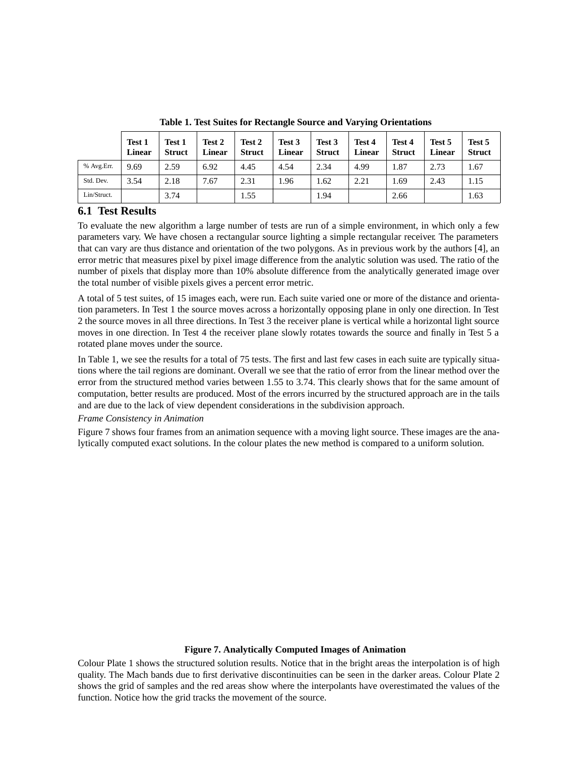|             | Test 1<br>Linear | Test 1<br><b>Struct</b> | Test 2<br><b>Linear</b> | Test 2<br><b>Struct</b> | Test 3<br><b>Linear</b> | Test 3<br><b>Struct</b> | Test 4<br><b>Linear</b> | Test 4<br><b>Struct</b> | Test 5<br><b>Linear</b> | Test 5<br><b>Struct</b> |
|-------------|------------------|-------------------------|-------------------------|-------------------------|-------------------------|-------------------------|-------------------------|-------------------------|-------------------------|-------------------------|
| % Avg.Err.  | 9.69             | 2.59                    | 6.92                    | 4.45                    | 4.54                    | 2.34                    | 4.99                    | 1.87                    | 2.73                    | 1.67                    |
| Std. Dev.   | 3.54             | 2.18                    | 7.67                    | 2.31                    | 1.96                    | .62                     | 2.21                    | 1.69                    | 2.43                    | 1.15                    |
| Lin/Struct. |                  | 3.74                    |                         | 1.55                    |                         | 1.94                    |                         | 2.66                    |                         | 1.63                    |

**Table 1. Test Suites for Rectangle Source and Varying Orientations**

## **6.1 Test Results**

To evaluate the new algorithm a large number of tests are run of a simple environment, in which only a few parameters vary. We have chosen a rectangular source lighting a simple rectangular receiver. The parameters that can vary are thus distance and orientation of the two polygons. As in previous work by the authors [4], an error metric that measures pixel by pixel image difference from the analytic solution was used. The ratio of the number of pixels that display more than 10% absolute difference from the analytically generated image over the total number of visible pixels gives a percent error metric.

A total of 5 test suites, of 15 images each, were run. Each suite varied one or more of the distance and orientation parameters. In Test 1 the source moves across a horizontally opposing plane in only one direction. In Test 2 the source moves in all three directions. In Test 3 the receiver plane is vertical while a horizontal light source moves in one direction. In Test 4 the receiver plane slowly rotates towards the source and finally in Test 5 a rotated plane moves under the source.

In Table 1, we see the results for a total of 75 tests. The first and last few cases in each suite are typically situations where the tail regions are dominant. Overall we see that the ratio of error from the linear method over the error from the structured method varies between 1.55 to 3.74. This clearly shows that for the same amount of computation, better results are produced. Most of the errors incurred by the structured approach are in the tails and are due to the lack of view dependent considerations in the subdivision approach.

## *Frame Consistency in Animation*

Figure 7 shows four frames from an animation sequence with a moving light source. These images are the analytically computed exact solutions. In the colour plates the new method is compared to a uniform solution.

## **Figure 7. Analytically Computed Images of Animation**

Colour Plate 1 shows the structured solution results. Notice that in the bright areas the interpolation is of high quality. The Mach bands due to first derivative discontinuities can be seen in the darker areas. Colour Plate 2 shows the grid of samples and the red areas show where the interpolants have overestimated the values of the function. Notice how the grid tracks the movement of the source.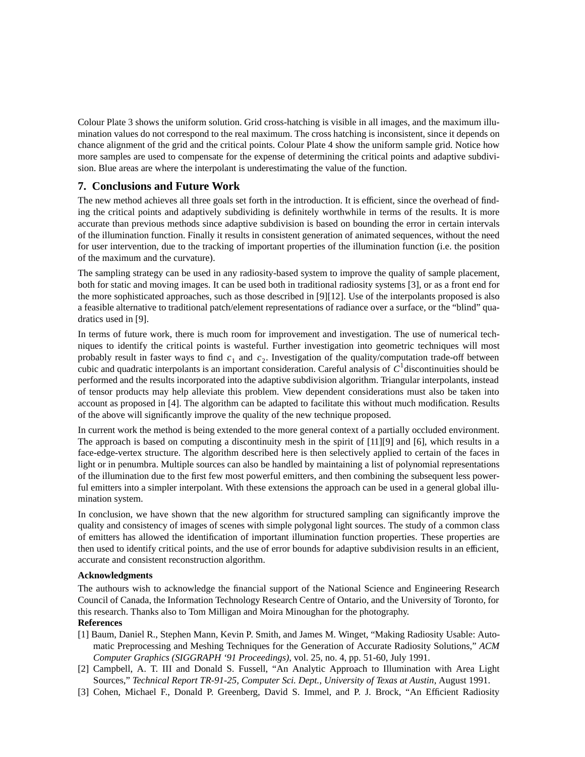Colour Plate 3 shows the uniform solution. Grid cross-hatching is visible in all images, and the maximum illumination values do not correspond to the real maximum. The cross hatching is inconsistent, since it depends on chance alignment of the grid and the critical points. Colour Plate 4 show the uniform sample grid. Notice how more samples are used to compensate for the expense of determining the critical points and adaptive subdivision. Blue areas are where the interpolant is underestimating the value of the function.

## **7. Conclusions and Future Work**

The new method achieves all three goals set forth in the introduction. It is efficient, since the overhead of finding the critical points and adaptively subdividing is definitely worthwhile in terms of the results. It is more accurate than previous methods since adaptive subdivision is based on bounding the error in certain intervals of the illumination function. Finally it results in consistent generation of animated sequences, without the need for user intervention, due to the tracking of important properties of the illumination function (i.e. the position of the maximum and the curvature).

The sampling strategy can be used in any radiosity-based system to improve the quality of sample placement, both for static and moving images. It can be used both in traditional radiosity systems [3], or as a front end for the more sophisticated approaches, such as those described in [9][12]. Use of the interpolants proposed is also a feasible alternative to traditional patch/element representations of radiance over a surface, or the "blind" quadratics used in [9].

In terms of future work, there is much room for improvement and investigation. The use of numerical techniques to identify the critical points is wasteful. Further investigation into geometric techniques will most probably result in faster ways to find  $c_1$  and  $c_2$ . Investigation of the quality/computation trade-off between cubic and quadratic interpolants is an important consideration. Careful analysis of  $C<sup>1</sup>$  discontinuities should be performed and the results incorporated into the adaptive subdivision algorithm. Triangular interpolants, instead of tensor products may help alleviate this problem. View dependent considerations must also be taken into account as proposed in [4]. The algorithm can be adapted to facilitate this without much modification. Results of the above will significantly improve the quality of the new technique proposed.

In current work the method is being extended to the more general context of a partially occluded environment. The approach is based on computing a discontinuity mesh in the spirit of [11][9] and [6], which results in a face-edge-vertex structure. The algorithm described here is then selectively applied to certain of the faces in light or in penumbra. Multiple sources can also be handled by maintaining a list of polynomial representations of the illumination due to the first few most powerful emitters, and then combining the subsequent less powerful emitters into a simpler interpolant. With these extensions the approach can be used in a general global illumination system.

In conclusion, we have shown that the new algorithm for structured sampling can significantly improve the quality and consistency of images of scenes with simple polygonal light sources. The study of a common class of emitters has allowed the identification of important illumination function properties. These properties are then used to identify critical points, and the use of error bounds for adaptive subdivision results in an efficient, accurate and consistent reconstruction algorithm.

## **Acknowledgments**

The authours wish to acknowledge the financial support of the National Science and Engineering Research Council of Canada, the Information Technology Research Centre of Ontario, and the University of Toronto, for this research. Thanks also to Tom Milligan and Moira Minoughan for the photography.

## **References**

- [1] Baum, Daniel R., Stephen Mann, Kevin P. Smith, and James M. Winget, "Making Radiosity Usable: Automatic Preprocessing and Meshing Techniques for the Generation of Accurate Radiosity Solutions," *ACM Computer Graphics (SIGGRAPH '91 Proceedings)*, vol. 25, no. 4, pp. 51-60, July 1991.
- [2] Campbell, A. T. III and Donald S. Fussell, "An Analytic Approach to Illumination with Area Light Sources," *Technical Report TR-91-25, Computer Sci. Dept., University of Texas at Austin*, August 1991.
- [3] Cohen, Michael F., Donald P. Greenberg, David S. Immel, and P. J. Brock, "An Efficient Radiosity